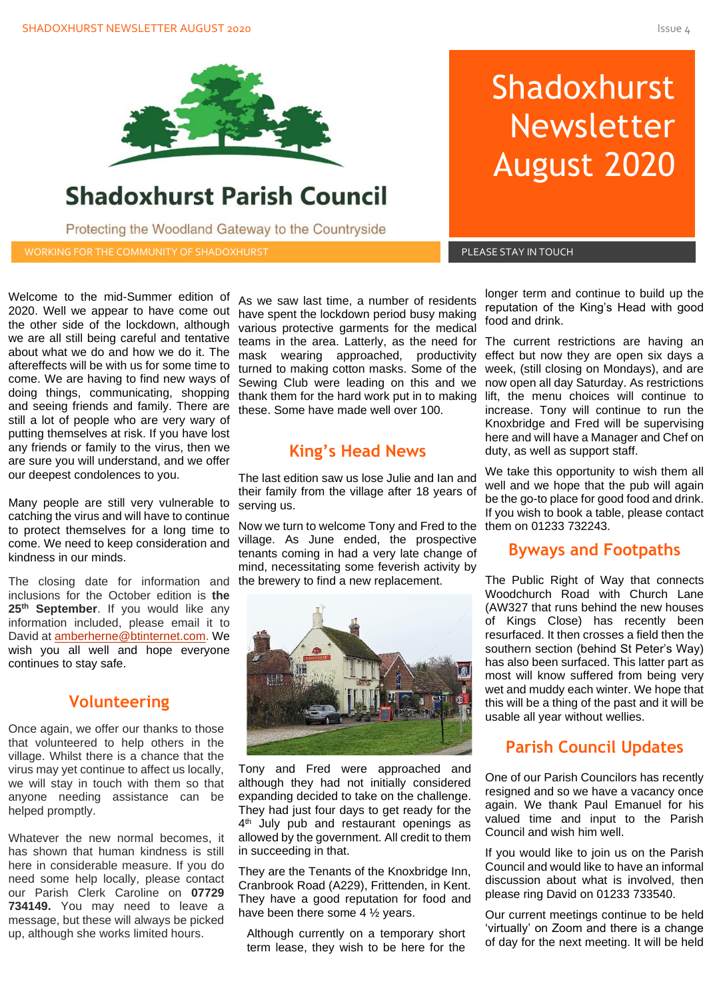

## **Shadoxhurst Parish Council**

Protecting the Woodland Gateway to the Countryside

WORKING FOR THE COMMUNITY OF SHADOXHURST AND RESIDENT RESIDENCES IN TOUCH A RESIDENCE STAY IN TOUCH

# Shadoxhurst Newsletter August 2020

Welcome to the mid-Summer edition of 2020. Well we appear to have come out the other side of the lockdown, although we are all still being careful and tentative about what we do and how we do it. The aftereffects will be with us for some time to come. We are having to find new ways of doing things, communicating, shopping and seeing friends and family. There are still a lot of people who are very wary of putting themselves at risk. If you have lost any friends or family to the virus, then we are sure you will understand, and we offer our deepest condolences to you.

Many people are still very vulnerable to catching the virus and will have to continue to protect themselves for a long time to come. We need to keep consideration and kindness in our minds.

The closing date for information and the brewery to find a new replacement. inclusions for the October edition is **the 25th September**. If you would like any information included, please email it to David at [amberherne@btinternet.com.](mailto:amberherne@btinternet.com) We wish you all well and hope everyone continues to stay safe.

#### **Volunteering**

Once again, we offer our thanks to those that volunteered to help others in the village. Whilst there is a chance that the virus may yet continue to affect us locally, we will stay in touch with them so that anyone needing assistance can be helped promptly.

Whatever the new normal becomes, it has shown that human kindness is still here in considerable measure. If you do need some help locally, please contact our Parish Clerk Caroline on **07729 734149.** You may need to leave a message, but these will always be picked up, although she works limited hours.

As we saw last time, a number of residents have spent the lockdown period busy making various protective garments for the medical teams in the area. Latterly, as the need for The current restrictions are having an mask wearing approached, productivity turned to making cotton masks. Some of the Sewing Club were leading on this and we thank them for the hard work put in to making these. Some have made well over 100.

## **King's Head News**

The last edition saw us lose Julie and Ian and their family from the village after 18 years of serving us.

Now we turn to welcome Tony and Fred to the village. As June ended, the prospective tenants coming in had a very late change of mind, necessitating some feverish activity by



Tony and Fred were approached and although they had not initially considered expanding decided to take on the challenge. They had just four days to get ready for the 4<sup>th</sup> July pub and restaurant openings as allowed by the government. All credit to them in succeeding in that.

They are the Tenants of the Knoxbridge Inn, Cranbrook Road (A229), Frittenden, in Kent. They have a good reputation for food and have been there some 4 ½ years.

Although currently on a temporary short term lease, they wish to be here for the

longer term and continue to build up the reputation of the King's Head with good food and drink.

increase. Tony will continue to run the<br>Knoxbridge and Fred will be supervising<br>bere and will bave a Manager and Chef on effect but now they are open six days a week, (still closing on Mondays), and are now open all day Saturday. As restrictions lift, the menu choices will continue to increase. Tony will continue to run the here and will have a Manager and Chef on duty, as well as support staff.

We take this opportunity to wish them all well and we hope that the pub will again be the go-to place for good food and drink. If you wish to book a table, please contact them on 01233 732243.

#### **Byways and Footpaths**

The Public Right of Way that connects Woodchurch Road with Church Lane (AW327 that runs behind the new houses of Kings Close) has recently been resurfaced. It then crosses a field then the southern section (behind St Peter's Way) has also been surfaced. This latter part as most will know suffered from being very wet and muddy each winter. We hope that this will be a thing of the past and it will be usable all year without wellies.

## **Parish Council Updates**

One of our Parish Councilors has recently resigned and so we have a vacancy once again. We thank Paul Emanuel for his valued time and input to the Parish Council and wish him well.

If you would like to join us on the Parish Council and would like to have an informal discussion about what is involved, then please ring David on 01233 733540.

Our current meetings continue to be held 'virtually' on Zoom and there is a change of day for the next meeting. It will be held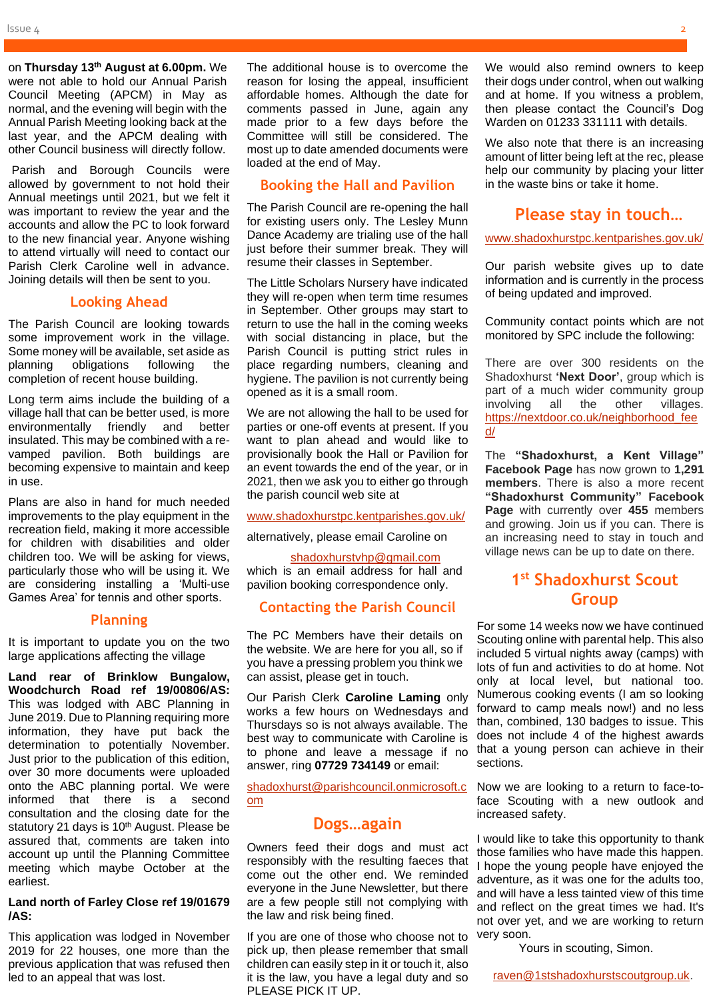on **Thursday 13th August at 6.00pm.** We were not able to hold our Annual Parish Council Meeting (APCM) in May as normal, and the evening will begin with the Annual Parish Meeting looking back at the last year, and the APCM dealing with other Council business will directly follow.

Parish and Borough Councils were allowed by government to not hold their Annual meetings until 2021, but we felt it was important to review the year and the accounts and allow the PC to look forward to the new financial year. Anyone wishing to attend virtually will need to contact our Parish Clerk Caroline well in advance. Joining details will then be sent to you.

#### **Looking Ahead**

The Parish Council are looking towards some improvement work in the village. Some money will be available, set aside as planning obligations following the completion of recent house building.

Long term aims include the building of a village hall that can be better used, is more environmentally friendly and better insulated. This may be combined with a revamped pavilion. Both buildings are becoming expensive to maintain and keep in use.

Plans are also in hand for much needed improvements to the play equipment in the recreation field, making it more accessible for children with disabilities and older children too. We will be asking for views, particularly those who will be using it. We are considering installing a 'Multi-use Games Area' for tennis and other sports.

#### **Planning**

It is important to update you on the two large applications affecting the village

**Land rear of Brinklow Bungalow, Woodchurch Road ref 19/00806/AS:** This was lodged with ABC Planning in June 2019. Due to Planning requiring more information, they have put back the determination to potentially November. Just prior to the publication of this edition, over 30 more documents were uploaded onto the ABC planning portal. We were informed that there is a second consultation and the closing date for the statutory 21 days is 10<sup>th</sup> August. Please be assured that, comments are taken into account up until the Planning Committee meeting which maybe October at the earliest.

#### **Land north of Farley Close ref 19/01679 /AS:**

This application was lodged in November 2019 for 22 houses, one more than the previous application that was refused then led to an appeal that was lost.

The additional house is to overcome the reason for losing the appeal, insufficient affordable homes. Although the date for comments passed in June, again any made prior to a few days before the Committee will still be considered. The most up to date amended documents were loaded at the end of May.

#### **Booking the Hall and Pavilion**

The Parish Council are re-opening the hall for existing users only. The Lesley Munn Dance Academy are trialing use of the hall just before their summer break. They will resume their classes in September.

The Little Scholars Nursery have indicated they will re-open when term time resumes in September. Other groups may start to return to use the hall in the coming weeks with social distancing in place, but the Parish Council is putting strict rules in place regarding numbers, cleaning and hygiene. The pavilion is not currently being opened as it is a small room.

We are not allowing the hall to be used for parties or one-off events at present. If you want to plan ahead and would like to provisionally book the Hall or Pavilion for an event towards the end of the year, or in 2021, then we ask you to either go through the parish council web site at

[www.shadoxhurstpc.kentparishes.gov.uk/](http://www.shadoxhurstpc.kentparishes.gov.uk/)

alternatively, please email Caroline on

#### [shadoxhurstvhp@gmail.com](mailto:shadoxhurstvhp@gmail.com)

which is an email address for hall and pavilion booking correspondence only.

#### **Contacting the Parish Council**

The PC Members have their details on the website. We are here for you all, so if you have a pressing problem you think we can assist, please get in touch.

Our Parish Clerk **Caroline Laming** only works a few hours on Wednesdays and Thursdays so is not always available. The best way to communicate with Caroline is to phone and leave a message if no answer, ring **07729 734149** or email:

[shadoxhurst@parishcouncil.onmicrosoft.c](mailto:shadoxhurst@parishcouncil.onmicrosoft.com) [om](mailto:shadoxhurst@parishcouncil.onmicrosoft.com)

#### **Dogs…again**

Owners feed their dogs and must act responsibly with the resulting faeces that come out the other end. We reminded everyone in the June Newsletter, but there are a few people still not complying with the law and risk being fined.

If you are one of those who choose not to pick up, then please remember that small children can easily step in it or touch it, also it is the law, you have a legal duty and so PLEASE PICK IT UP.

We would also remind owners to keep their dogs under control, when out walking and at home. If you witness a problem, then please contact the Council's Dog Warden on 01233 331111 with details.

We also note that there is an increasing amount of litter being left at the rec, please help our community by placing your litter in the waste bins or take it home.

#### **Please stay in touch…**

[www.shadoxhurstpc.kentparishes.gov.uk/](http://www.shadoxhurstpc.kentparishes.gov.uk/)

Our parish website gives up to date information and is currently in the process of being updated and improved.

Community contact points which are not monitored by SPC include the following:

There are over 300 residents on the Shadoxhurst **'Next Door'**, group which is part of a much wider community group<br>involving all the other villages. involving all the other villages. [https://nextdoor.co.uk/neighborhood\\_fee](https://nextdoor.co.uk/neighborhood_feed/)  $\overline{d}$ 

The **"Shadoxhurst, a Kent Village" Facebook Page** has now grown to **1,291 members**. There is also a more recent **"Shadoxhurst Community" Facebook Page** with currently over **455** members and growing. Join us if you can. There is an increasing need to stay in touch and village news can be up to date on there.

## **1 st Shadoxhurst Scout Group**

For some 14 weeks now we have continued Scouting online with parental help. This also included 5 virtual nights away (camps) with lots of fun and activities to do at home. Not only at local level, but national too. Numerous cooking events (I am so looking forward to camp meals now!) and no less than, combined, 130 badges to issue. This does not include 4 of the highest awards that a young person can achieve in their sections.

Now we are looking to a return to face-toface Scouting with a new outlook and increased safety.

I would like to take this opportunity to thank those families who have made this happen. I hope the young people have enjoyed the adventure, as it was one for the adults too, and will have a less tainted view of this time and reflect on the great times we had. It's not over yet, and we are working to return very soon.

Yours in scouting, Simon.

[raven@1stshadoxhurstscoutgroup.uk.](mailto:raven@1stshadoxhurstscoutgroup.uk)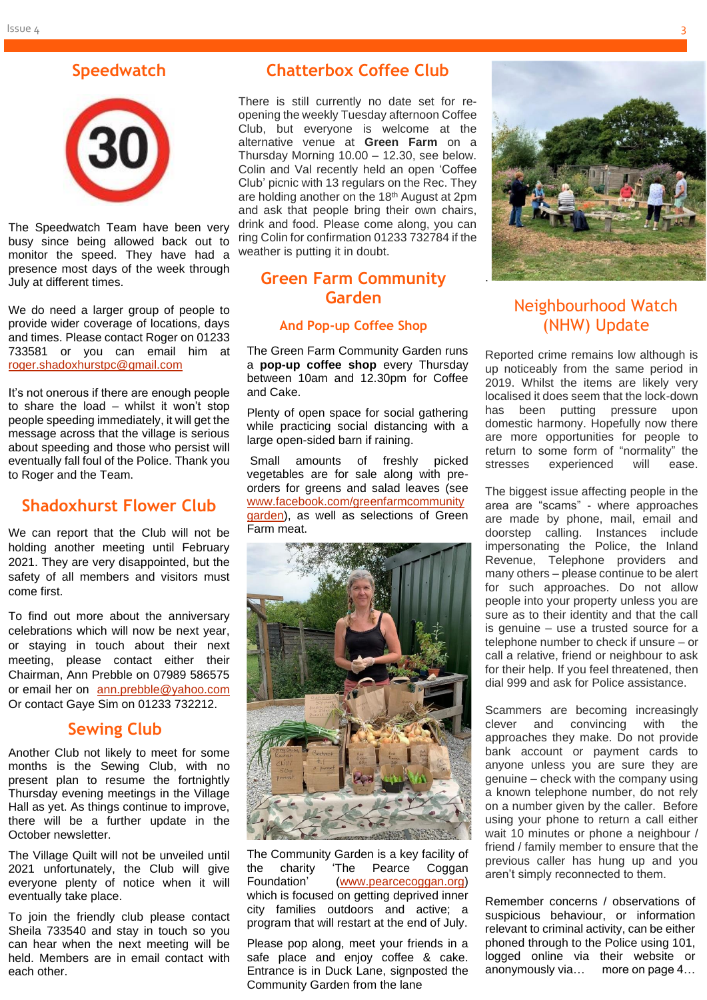## **Speedwatch**



The Speedwatch Team have been very busy since being allowed back out to monitor the speed. They have had a presence most days of the week through July at different times.

We do need a larger group of people to provide wider coverage of locations, days and times. Please contact Roger on 01233 733581 or you can email him at [roger.shadoxhurstpc@gmail.com](mailto:roger.shadoxhurstpc@gmail.com)

It's not onerous if there are enough people to share the load – whilst it won't stop people speeding immediately, it will get the message across that the village is serious about speeding and those who persist will eventually fall foul of the Police. Thank you to Roger and the Team.

#### **Shadoxhurst Flower Club**

We can report that the Club will not be holding another meeting until February 2021. They are very disappointed, but the safety of all members and visitors must come first.

To find out more about the anniversary celebrations which will now be next year, or staying in touch about their next meeting, please contact either their Chairman, Ann Prebble on 07989 586575 or email her on [ann.prebble@yahoo.com](mailto:ann.prebble@yahoo.com) Or contact Gaye Sim on 01233 732212.

#### **Sewing Club**

Another Club not likely to meet for some months is the Sewing Club, with no present plan to resume the fortnightly Thursday evening meetings in the Village Hall as yet. As things continue to improve, there will be a further update in the October newsletter.

The Village Quilt will not be unveiled until 2021 unfortunately, the Club will give everyone plenty of notice when it will eventually take place.

To join the friendly club please contact Sheila 733540 and stay in touch so you can hear when the next meeting will be held. Members are in email contact with each other.

## **Chatterbox Coffee Club**

There is still currently no date set for reopening the weekly Tuesday afternoon Coffee Club, but everyone is welcome at the alternative venue at **Green Farm** on a Thursday Morning 10.00 – 12.30, see below. Colin and Val recently held an open 'Coffee Club' picnic with 13 regulars on the Rec. They are holding another on the 18<sup>th</sup> August at 2pm and ask that people bring their own chairs, drink and food. Please come along, you can ring Colin for confirmation 01233 732784 if the weather is putting it in doubt.

## **Green Farm Community Garden**

#### **And Pop-up Coffee Shop**

The Green Farm Community Garden runs a **pop-up coffee shop** every Thursday between 10am and 12.30pm for Coffee and Cake.

Plenty of open space for social gathering while practicing social distancing with a large open-sided barn if raining.

Small amounts of freshly picked vegetables are for sale along with preorders for greens and salad leaves (see [www.facebook.com/greenfarmcommunity](http://www.facebook.com/greenfarmcommunitygarden) [garden\)](http://www.facebook.com/greenfarmcommunitygarden), as well as selections of Green Farm meat.



The Community Garden is a key facility of the charity 'The Pearce Coggan Foundation' [\(www.pearcecoggan.org\)](http://www.pearcecoggan.org/) which is focused on getting deprived inner city families outdoors and active; a program that will restart at the end of July.

Please pop along, meet your friends in a safe place and enjoy coffee & cake. Entrance is in Duck Lane, signposted the Community Garden from the lane



## Neighbourhood Watch (NHW) Update

Reported crime remains low although is up noticeably from the same period in 2019. Whilst the items are likely very localised it does seem that the lock-down has been putting pressure upon domestic harmony. Hopefully now there are more opportunities for people to return to some form of "normality" the<br>stresses experienced will ease. experienced will ease.

The biggest issue affecting people in the area are "scams" - where approaches are made by phone, mail, email and doorstep calling. Instances include impersonating the Police, the Inland Revenue, Telephone providers and many others – please continue to be alert for such approaches. Do not allow people into your property unless you are sure as to their identity and that the call is genuine – use a trusted source for a telephone number to check if unsure – or call a relative, friend or neighbour to ask for their help. If you feel threatened, then dial 999 and ask for Police assistance.

Scammers are becoming increasingly clever and convincing with the approaches they make. Do not provide bank account or payment cards to anyone unless you are sure they are genuine – check with the company using a known telephone number, do not rely on a number given by the caller. Before using your phone to return a call either wait 10 minutes or phone a neighbour / friend / family member to ensure that the previous caller has hung up and you aren't simply reconnected to them.

Remember concerns / observations of suspicious behaviour, or information relevant to criminal activity, can be either phoned through to the Police using 101, logged online via their website or anonymously via… more on page 4…